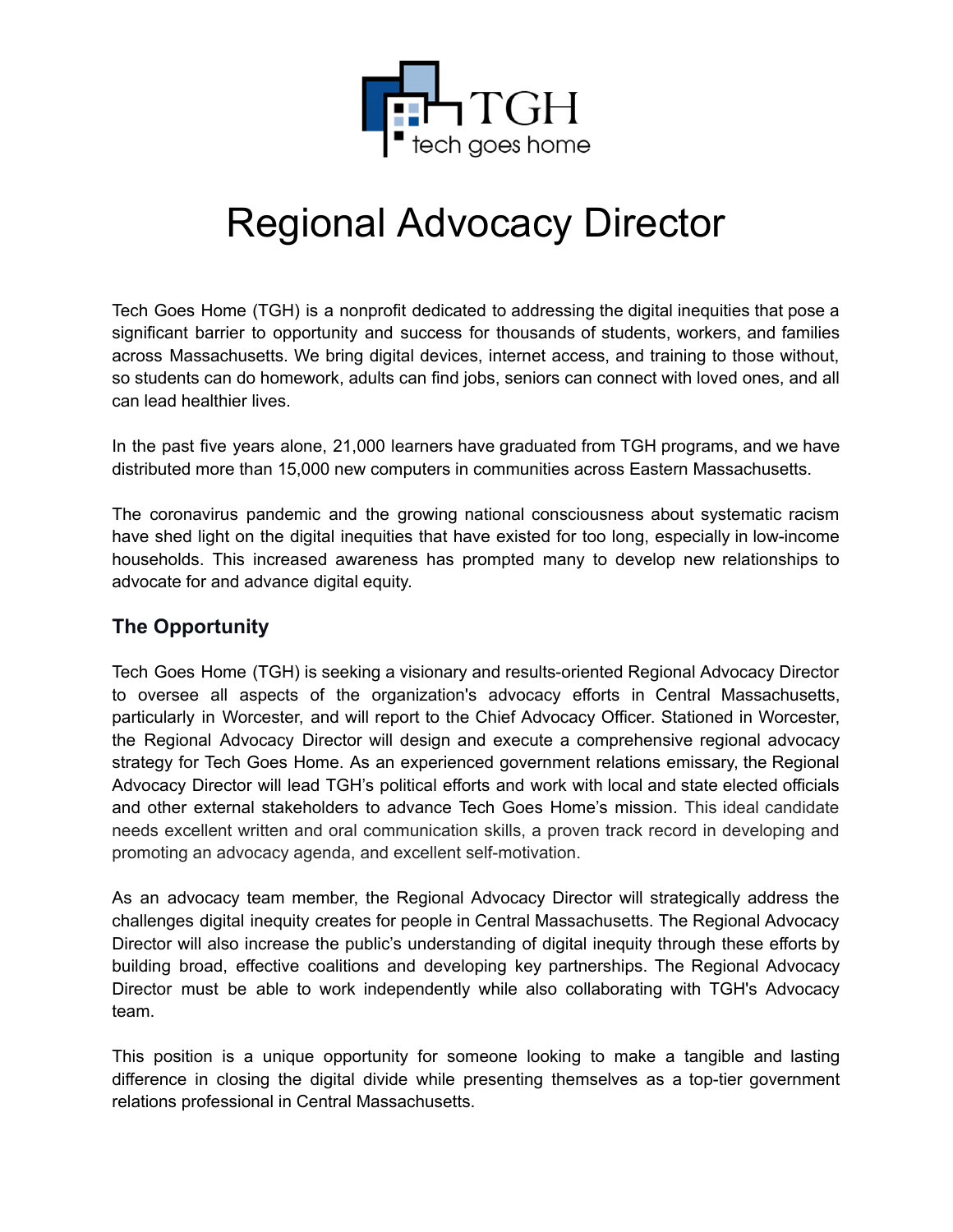

# Regional Advocacy Director

Tech Goes Home (TGH) is a nonprofit dedicated to addressing the digital inequities that pose a significant barrier to opportunity and success for thousands of students, workers, and families across Massachusetts. We bring digital devices, internet access, and training to those without, so students can do homework, adults can find jobs, seniors can connect with loved ones, and all can lead healthier lives.

In the past five years alone, 21,000 learners have graduated from TGH programs, and we have distributed more than 15,000 new computers in communities across Eastern Massachusetts.

The coronavirus pandemic and the growing national consciousness about systematic racism have shed light on the digital inequities that have existed for too long, especially in low-income households. This increased awareness has prompted many to develop new relationships to advocate for and advance digital equity.

# **The Opportunity**

Tech Goes Home (TGH) is seeking a visionary and results-oriented Regional Advocacy Director to oversee all aspects of the organization's advocacy efforts in Central Massachusetts, particularly in Worcester, and will report to the Chief Advocacy Officer. Stationed in Worcester, the Regional Advocacy Director will design and execute a comprehensive regional advocacy strategy for Tech Goes Home. As an experienced government relations emissary, the Regional Advocacy Director will lead TGH's political efforts and work with local and state elected officials and other external stakeholders to advance Tech Goes Home's mission. This ideal candidate needs excellent written and oral communication skills, a proven track record in developing and promoting an advocacy agenda, and excellent self-motivation.

As an advocacy team member, the Regional Advocacy Director will strategically address the challenges digital inequity creates for people in Central Massachusetts. The Regional Advocacy Director will also increase the public's understanding of digital inequity through these efforts by building broad, effective coalitions and developing key partnerships. The Regional Advocacy Director must be able to work independently while also collaborating with TGH's Advocacy team.

This position is a unique opportunity for someone looking to make a tangible and lasting difference in closing the digital divide while presenting themselves as a top-tier government relations professional in Central Massachusetts.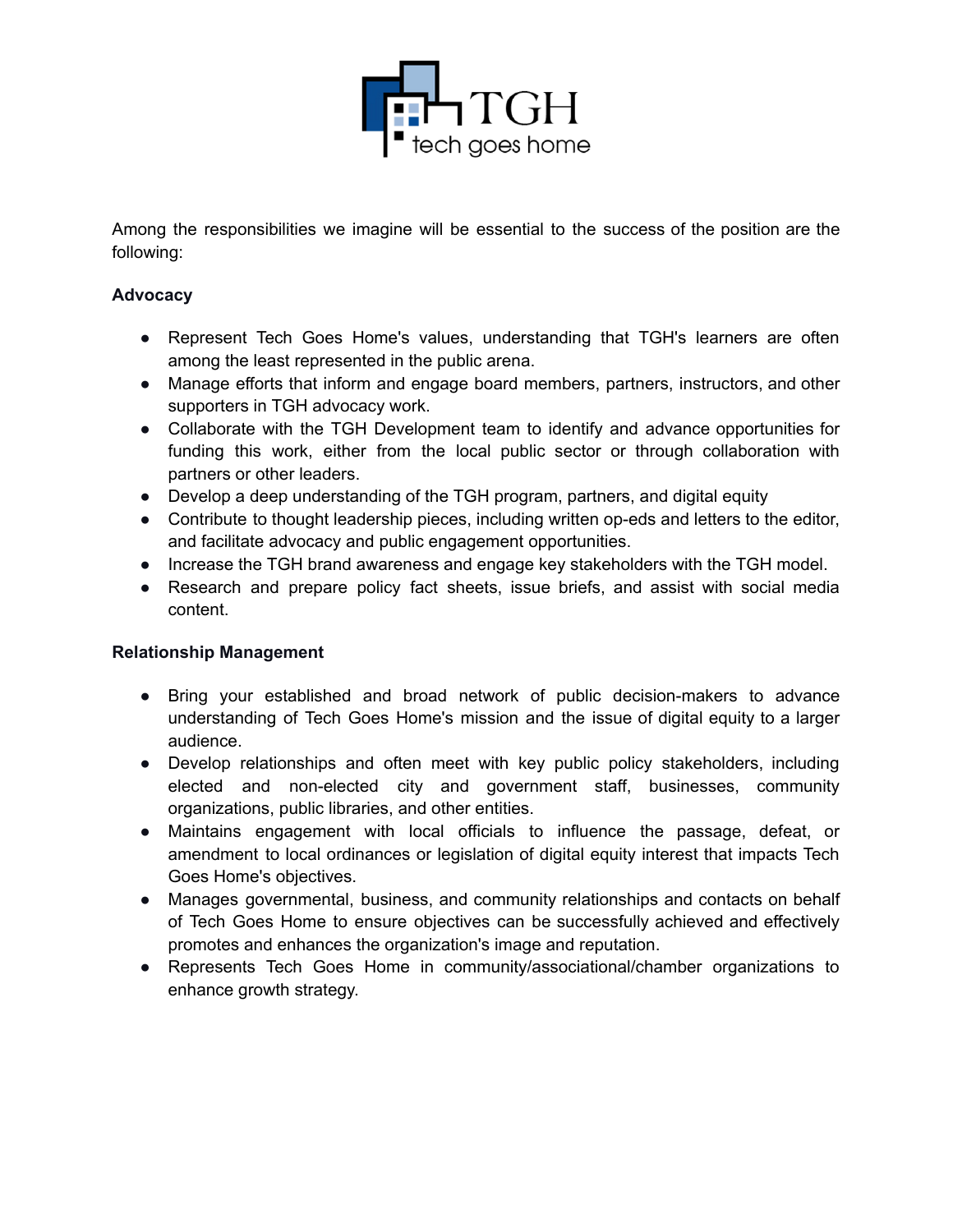

Among the responsibilities we imagine will be essential to the success of the position are the following:

#### **Advocacy**

- Represent Tech Goes Home's values, understanding that TGH's learners are often among the least represented in the public arena.
- Manage efforts that inform and engage board members, partners, instructors, and other supporters in TGH advocacy work.
- Collaborate with the TGH Development team to identify and advance opportunities for funding this work, either from the local public sector or through collaboration with partners or other leaders.
- Develop a deep understanding of the TGH program, partners, and digital equity
- Contribute to thought leadership pieces, including written op-eds and letters to the editor, and facilitate advocacy and public engagement opportunities.
- Increase the TGH brand awareness and engage key stakeholders with the TGH model.
- Research and prepare policy fact sheets, issue briefs, and assist with social media content.

#### **Relationship Management**

- Bring your established and broad network of public decision-makers to advance understanding of Tech Goes Home's mission and the issue of digital equity to a larger audience.
- Develop relationships and often meet with key public policy stakeholders, including elected and non-elected city and government staff, businesses, community organizations, public libraries, and other entities.
- Maintains engagement with local officials to influence the passage, defeat, or amendment to local ordinances or legislation of digital equity interest that impacts Tech Goes Home's objectives.
- Manages governmental, business, and community relationships and contacts on behalf of Tech Goes Home to ensure objectives can be successfully achieved and effectively promotes and enhances the organization's image and reputation.
- Represents Tech Goes Home in community/associational/chamber organizations to enhance growth strategy.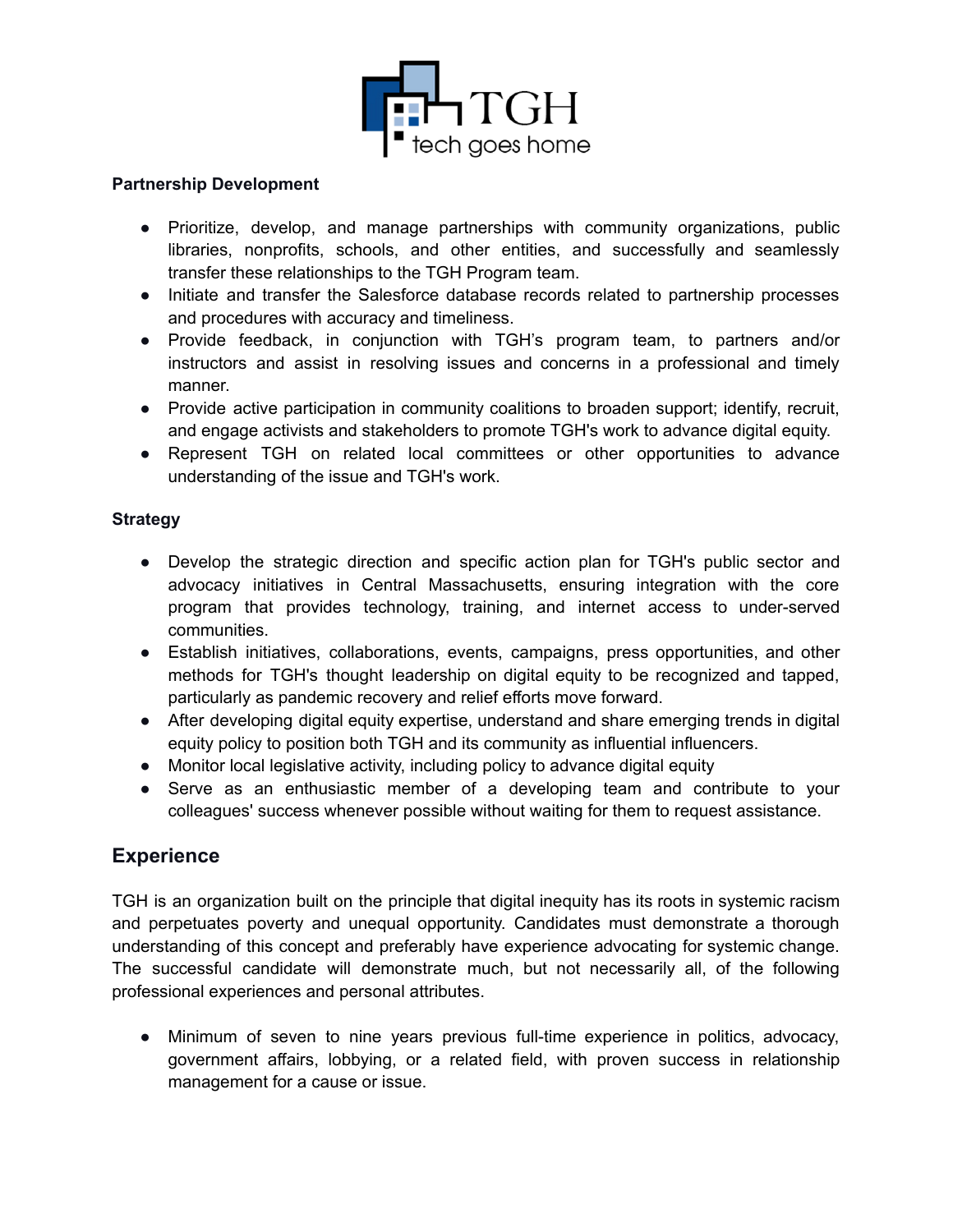

#### **Partnership Development**

- Prioritize, develop, and manage partnerships with community organizations, public libraries, nonprofits, schools, and other entities, and successfully and seamlessly transfer these relationships to the TGH Program team.
- Initiate and transfer the Salesforce database records related to partnership processes and procedures with accuracy and timeliness.
- Provide feedback, in conjunction with TGH's program team, to partners and/or instructors and assist in resolving issues and concerns in a professional and timely manner.
- Provide active participation in community coalitions to broaden support; identify, recruit, and engage activists and stakeholders to promote TGH's work to advance digital equity.
- Represent TGH on related local committees or other opportunities to advance understanding of the issue and TGH's work.

#### **Strategy**

- Develop the strategic direction and specific action plan for TGH's public sector and advocacy initiatives in Central Massachusetts, ensuring integration with the core program that provides technology, training, and internet access to under-served communities.
- Establish initiatives, collaborations, events, campaigns, press opportunities, and other methods for TGH's thought leadership on digital equity to be recognized and tapped, particularly as pandemic recovery and relief efforts move forward.
- After developing digital equity expertise, understand and share emerging trends in digital equity policy to position both TGH and its community as influential influencers.
- Monitor local legislative activity, including policy to advance digital equity
- Serve as an enthusiastic member of a developing team and contribute to your colleagues' success whenever possible without waiting for them to request assistance.

### **Experience**

TGH is an organization built on the principle that digital inequity has its roots in systemic racism and perpetuates poverty and unequal opportunity. Candidates must demonstrate a thorough understanding of this concept and preferably have experience advocating for systemic change. The successful candidate will demonstrate much, but not necessarily all, of the following professional experiences and personal attributes.

● Minimum of seven to nine years previous full-time experience in politics, advocacy, government affairs, lobbying, or a related field, with proven success in relationship management for a cause or issue.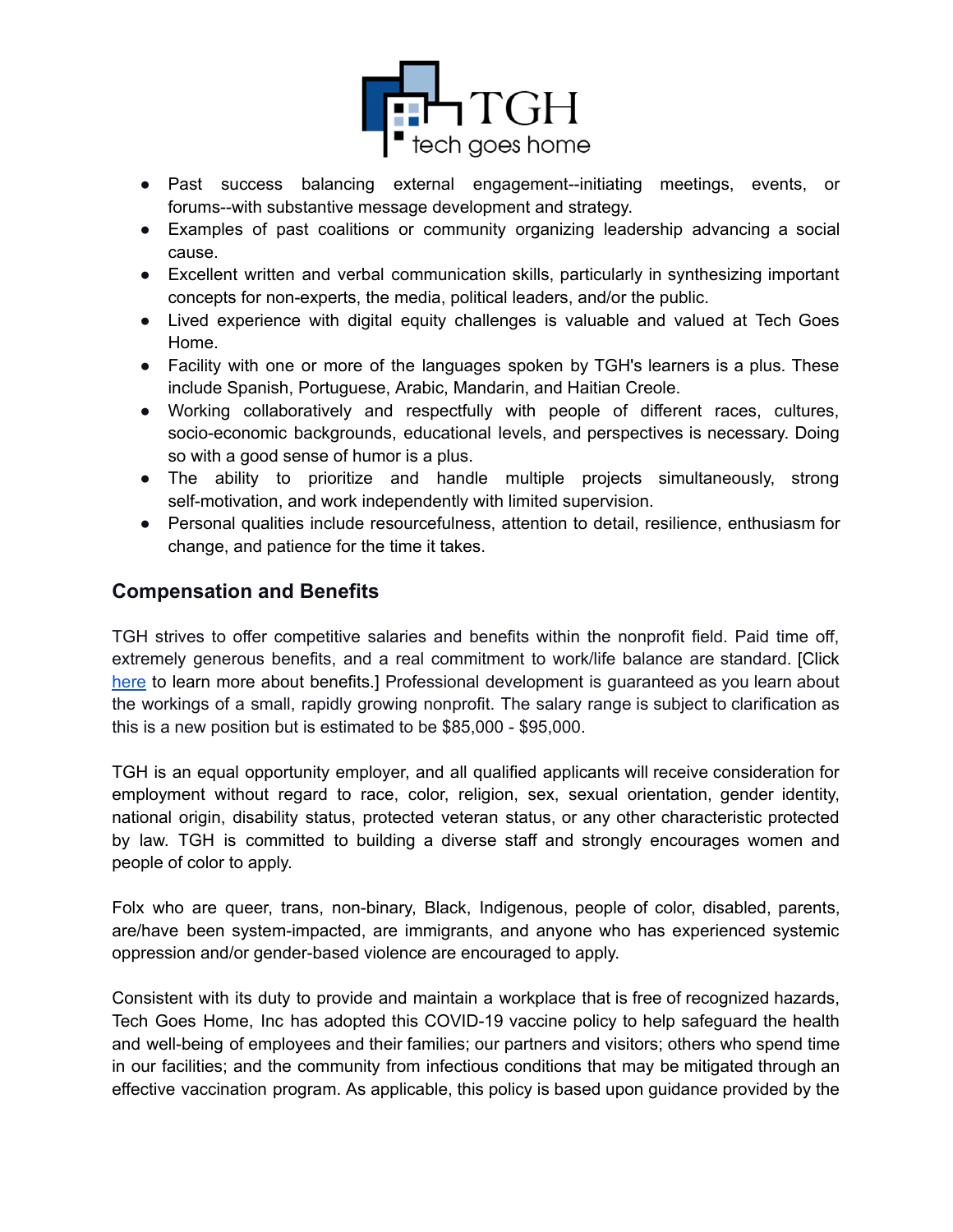

- Past success balancing external engagement--initiating meetings, events, or forums--with substantive message development and strategy.
- Examples of past coalitions or community organizing leadership advancing a social cause.
- Excellent written and verbal communication skills, particularly in synthesizing important concepts for non-experts, the media, political leaders, and/or the public.
- Lived experience with digital equity challenges is valuable and valued at Tech Goes Home.
- Facility with one or more of the languages spoken by TGH's learners is a plus. These include Spanish, Portuguese, Arabic, Mandarin, and Haitian Creole.
- Working collaboratively and respectfully with people of different races, cultures, socio-economic backgrounds, educational levels, and perspectives is necessary. Doing so with a good sense of humor is a plus.
- The ability to prioritize and handle multiple projects simultaneously, strong self-motivation, and work independently with limited supervision.
- Personal qualities include resourcefulness, attention to detail, resilience, enthusiasm for change, and patience for the time it takes.

# **Compensation and Benefits**

TGH strives to offer competitive salaries and benefits within the nonprofit field. Paid time off, extremely generous benefits, and a real commitment to work/life balance are standard. [Click here to learn more about benefits.] Professional development is quaranteed as you learn about the workings of a small, rapidly growing nonprofit. The salary range is subject to clarification as this is a new position but is estimated to be \$85,000 - \$95,000.

TGH is an equal opportunity employer, and all qualified applicants will receive consideration for employment without regard to race, color, religion, sex, sexual orientation, gender identity, national origin, disability status, protected veteran status, or any other characteristic protected by law. TGH is committed to building a diverse staff and strongly encourages women and people of color to apply.

Folx who are queer, trans, non-binary, Black, Indigenous, people of color, disabled, parents, are/have been system-impacted, are immigrants, and anyone who has experienced systemic oppression and/or gender-based violence are encouraged to apply.

Consistent with its duty to provide and maintain a workplace that is free of recognized hazards, Tech Goes Home, Inc has adopted this COVID-19 vaccine policy to help safeguard the health and well-being of employees and their families; our partners and visitors; others who spend time in our facilities; and the community from infectious conditions that may be mitigated through an effective vaccination program. As applicable, this policy is based upon guidance provided by the